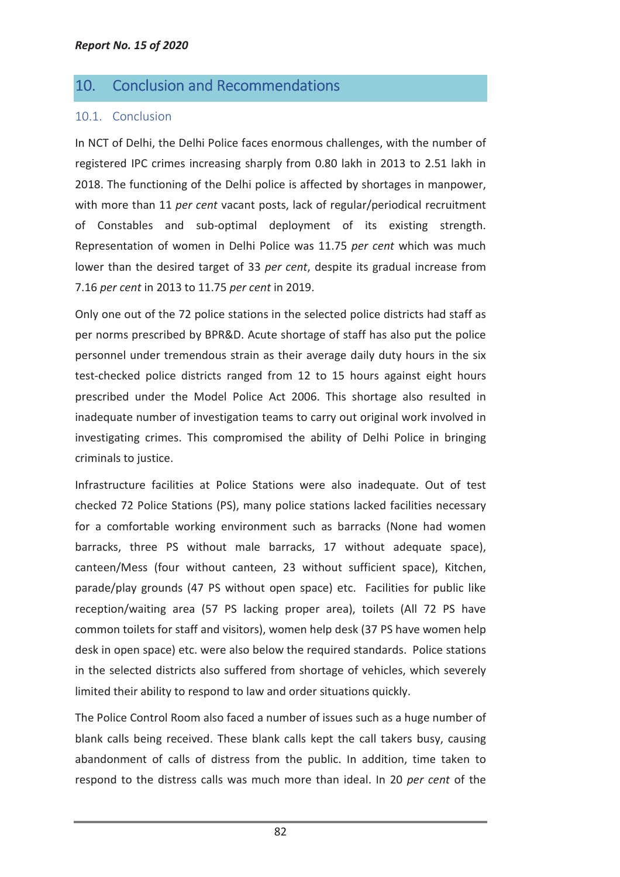## 10. Conclusion and Recommendations

## 10.1. Conclusion

In NCT of Delhi, the Delhi Police faces enormous challenges, with the number of registered IPC crimes increasing sharply from 0.80 lakh in 2013 to 2.51 lakh in 2018. The functioning of the Delhi police is affected by shortages in manpower, with more than 11 *per cent* vacant posts, lack of regular/periodical recruitment of Constables and sub-optimal deployment of its existing strength. Representation of women in Delhi Police was 11.75 *per cent* which was much lower than the desired target of 33 *per cent*, despite its gradual increase from 7.16 *per cent* in 2013 to 11.75 *per cent* in 2019.

Only one out of the 72 police stations in the selected police districts had staff as per norms prescribed by BPR&D. Acute shortage of staff has also put the police personnel under tremendous strain as their average daily duty hours in the six test-checked police districts ranged from 12 to 15 hours against eight hours prescribed under the Model Police Act 2006. This shortage also resulted in inadequate number of investigation teams to carry out original work involved in investigating crimes. This compromised the ability of Delhi Police in bringing criminals to justice.

Infrastructure facilities at Police Stations were also inadequate. Out of test checked 72 Police Stations (PS), many police stations lacked facilities necessary for a comfortable working environment such as barracks (None had women barracks, three PS without male barracks, 17 without adequate space), canteen/Mess (four without canteen, 23 without sufficient space), Kitchen, parade/play grounds (47 PS without open space) etc. Facilities for public like reception/waiting area (57 PS lacking proper area), toilets (All 72 PS have common toilets for staff and visitors), women help desk (37 PS have women help desk in open space) etc. were also below the required standards. Police stations in the selected districts also suffered from shortage of vehicles, which severely limited their ability to respond to law and order situations quickly.

The Police Control Room also faced a number of issues such as a huge number of blank calls being received. These blank calls kept the call takers busy, causing abandonment of calls of distress from the public. In addition, time taken to respond to the distress calls was much more than ideal. In 20 *per cent* of the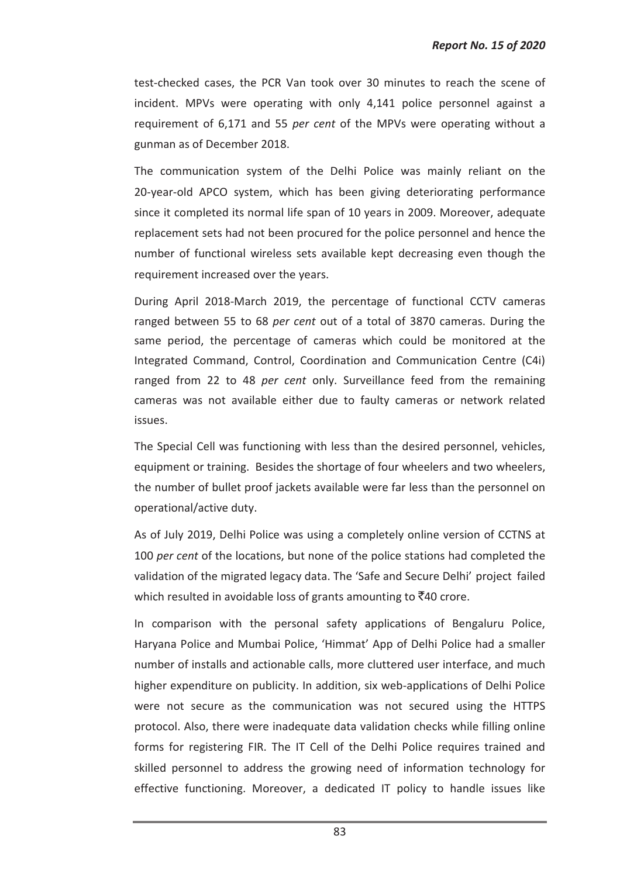test-checked cases, the PCR Van took over 30 minutes to reach the scene of incident. MPVs were operating with only 4,141 police personnel against a requirement of 6,171 and 55 *per cent* of the MPVs were operating without a gunman as of December 2018.

The communication system of the Delhi Police was mainly reliant on the 20-year-old APCO system, which has been giving deteriorating performance since it completed its normal life span of 10 years in 2009. Moreover, adequate replacement sets had not been procured for the police personnel and hence the number of functional wireless sets available kept decreasing even though the requirement increased over the years.

During April 2018-March 2019, the percentage of functional CCTV cameras ranged between 55 to 68 *per cent* out of a total of 3870 cameras. During the same period, the percentage of cameras which could be monitored at the Integrated Command, Control, Coordination and Communication Centre (C4i) ranged from 22 to 48 *per cent* only. Surveillance feed from the remaining cameras was not available either due to faulty cameras or network related issues.

The Special Cell was functioning with less than the desired personnel, vehicles, equipment or training. Besides the shortage of four wheelers and two wheelers, the number of bullet proof jackets available were far less than the personnel on operational/active duty.

As of July 2019, Delhi Police was using a completely online version of CCTNS at 100 *per cent* of the locations, but none of the police stations had completed the validation of the migrated legacy data. The 'Safe and Secure Delhi' project failed which resulted in avoidable loss of grants amounting to  $\bar{z}$ 40 crore.

In comparison with the personal safety applications of Bengaluru Police, Haryana Police and Mumbai Police, 'Himmat' App of Delhi Police had a smaller number of installs and actionable calls, more cluttered user interface, and much higher expenditure on publicity. In addition, six web-applications of Delhi Police were not secure as the communication was not secured using the HTTPS protocol. Also, there were inadequate data validation checks while filling online forms for registering FIR. The IT Cell of the Delhi Police requires trained and skilled personnel to address the growing need of information technology for effective functioning. Moreover, a dedicated IT policy to handle issues like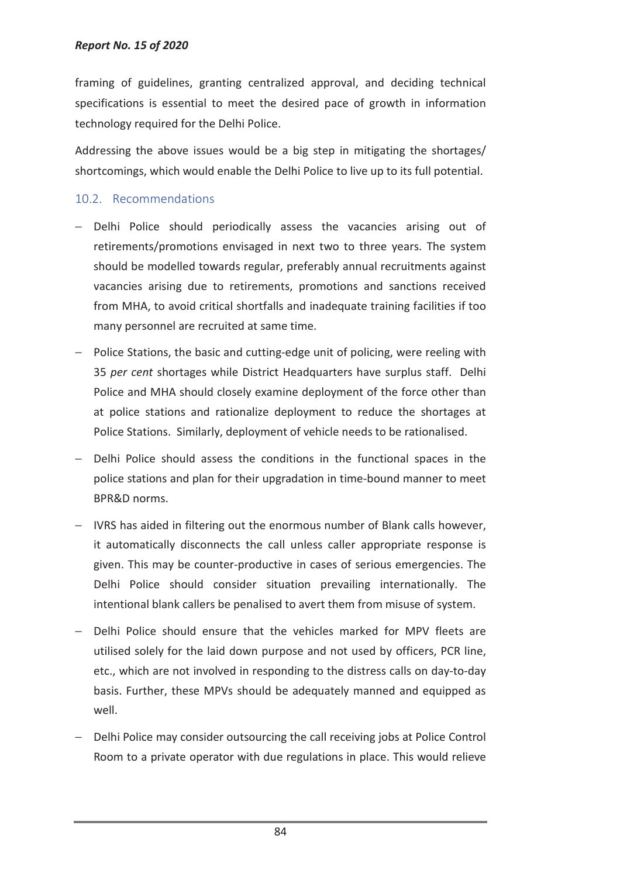framing of guidelines, granting centralized approval, and deciding technical specifications is essential to meet the desired pace of growth in information technology required for the Delhi Police.

Addressing the above issues would be a big step in mitigating the shortages/ shortcomings, which would enable the Delhi Police to live up to its full potential.

## 10.2. Recommendations

- − Delhi Police should periodically assess the vacancies arising out of retirements/promotions envisaged in next two to three years. The system should be modelled towards regular, preferably annual recruitments against vacancies arising due to retirements, promotions and sanctions received from MHA, to avoid critical shortfalls and inadequate training facilities if too many personnel are recruited at same time.
- − Police Stations, the basic and cutting-edge unit of policing, were reeling with 35 *per cent* shortages while District Headquarters have surplus staff. Delhi Police and MHA should closely examine deployment of the force other than at police stations and rationalize deployment to reduce the shortages at Police Stations. Similarly, deployment of vehicle needs to be rationalised.
- Delhi Police should assess the conditions in the functional spaces in the police stations and plan for their upgradation in time-bound manner to meet BPR&D norms.
- − IVRS has aided in filtering out the enormous number of Blank calls however, it automatically disconnects the call unless caller appropriate response is given. This may be counter-productive in cases of serious emergencies. The Delhi Police should consider situation prevailing internationally. The intentional blank callers be penalised to avert them from misuse of system.
- − Delhi Police should ensure that the vehicles marked for MPV fleets are utilised solely for the laid down purpose and not used by officers, PCR line, etc., which are not involved in responding to the distress calls on day-to-day basis. Further, these MPVs should be adequately manned and equipped as well.
- − Delhi Police may consider outsourcing the call receiving jobs at Police Control Room to a private operator with due regulations in place. This would relieve